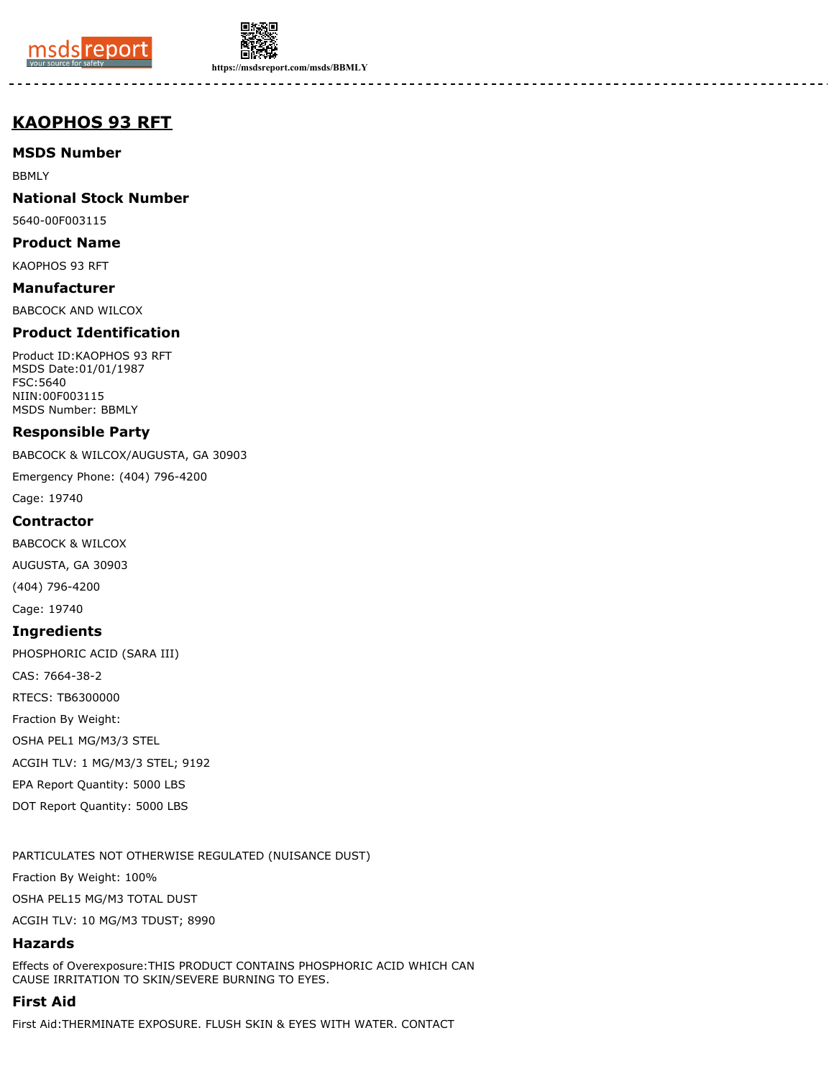



**https://msdsreport.com/msds/BBMLY**

# **KAOPHOS 93 RFT**

**MSDS Number**

BBMLY

**National Stock Number**

5640-00F003115

**Product Name**

KAOPHOS 93 RFT

**Manufacturer** BABCOCK AND WILCOX

# **Product Identification**

Product ID:KAOPHOS 93 RFT MSDS Date:01/01/1987 FSC:5640 NIIN:00F003115 MSDS Number: BBMLY

### **Responsible Party**

BABCOCK & WILCOX/AUGUSTA, GA 30903

Emergency Phone: (404) 796-4200

Cage: 19740

### **Contractor**

BABCOCK & WILCOX

AUGUSTA, GA 30903

(404) 796-4200

Cage: 19740

### **Ingredients**

PHOSPHORIC ACID (SARA III) CAS: 7664-38-2 RTECS: TB6300000 Fraction By Weight: OSHA PEL1 MG/M3/3 STEL ACGIH TLV: 1 MG/M3/3 STEL; 9192 EPA Report Quantity: 5000 LBS DOT Report Quantity: 5000 LBS

PARTICULATES NOT OTHERWISE REGULATED (NUISANCE DUST)

Fraction By Weight: 100%

OSHA PEL15 MG/M3 TOTAL DUST

ACGIH TLV: 10 MG/M3 TDUST; 8990

# **Hazards**

Effects of Overexposure:THIS PRODUCT CONTAINS PHOSPHORIC ACID WHICH CAN CAUSE IRRITATION TO SKIN/SEVERE BURNING TO EYES.

# **First Aid**

First Aid:THERMINATE EXPOSURE. FLUSH SKIN & EYES WITH WATER. CONTACT